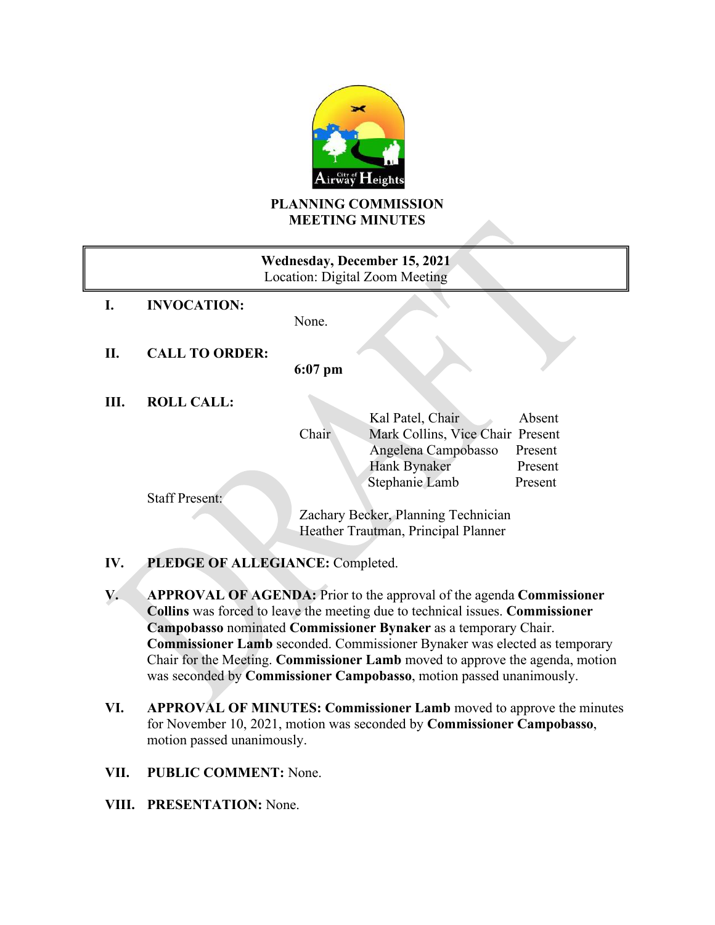

## **PLANNING COMMISSION MEETING MINUTES**

| Wednesday, December 15, 2021<br>Location: Digital Zoom Meeting |                       |                                     |                                  |         |  |
|----------------------------------------------------------------|-----------------------|-------------------------------------|----------------------------------|---------|--|
| I.                                                             | <b>INVOCATION:</b>    |                                     |                                  |         |  |
|                                                                |                       | None.                               |                                  |         |  |
|                                                                |                       |                                     |                                  |         |  |
| П.                                                             | <b>CALL TO ORDER:</b> | $6:07$ pm                           |                                  |         |  |
| Ш.                                                             | <b>ROLL CALL:</b>     |                                     |                                  |         |  |
|                                                                |                       |                                     | Kal Patel, Chair                 | Absent  |  |
|                                                                |                       | Chair                               | Mark Collins, Vice Chair Present |         |  |
|                                                                |                       |                                     | Angelena Campobasso              | Present |  |
|                                                                |                       |                                     | Hank Bynaker                     | Present |  |
|                                                                |                       |                                     | Stephanie Lamb                   | Present |  |
|                                                                | <b>Staff Present:</b> |                                     |                                  |         |  |
|                                                                |                       | Zachary Becker, Planning Technician |                                  |         |  |
|                                                                |                       | Heather Trautman, Principal Planner |                                  |         |  |

# **IV. PLEDGE OF ALLEGIANCE:** Completed.

**V. APPROVAL OF AGENDA:** Prior to the approval of the agenda **Commissioner Collins** was forced to leave the meeting due to technical issues. **Commissioner Campobasso** nominated **Commissioner Bynaker** as a temporary Chair. **Commissioner Lamb** seconded. Commissioner Bynaker was elected as temporary Chair for the Meeting. **Commissioner Lamb** moved to approve the agenda, motion was seconded by **Commissioner Campobasso**, motion passed unanimously.

- **VI. APPROVAL OF MINUTES: Commissioner Lamb** moved to approve the minutes for November 10, 2021, motion was seconded by **Commissioner Campobasso**, motion passed unanimously.
- **VII. PUBLIC COMMENT:** None.
- **VIII. PRESENTATION:** None.